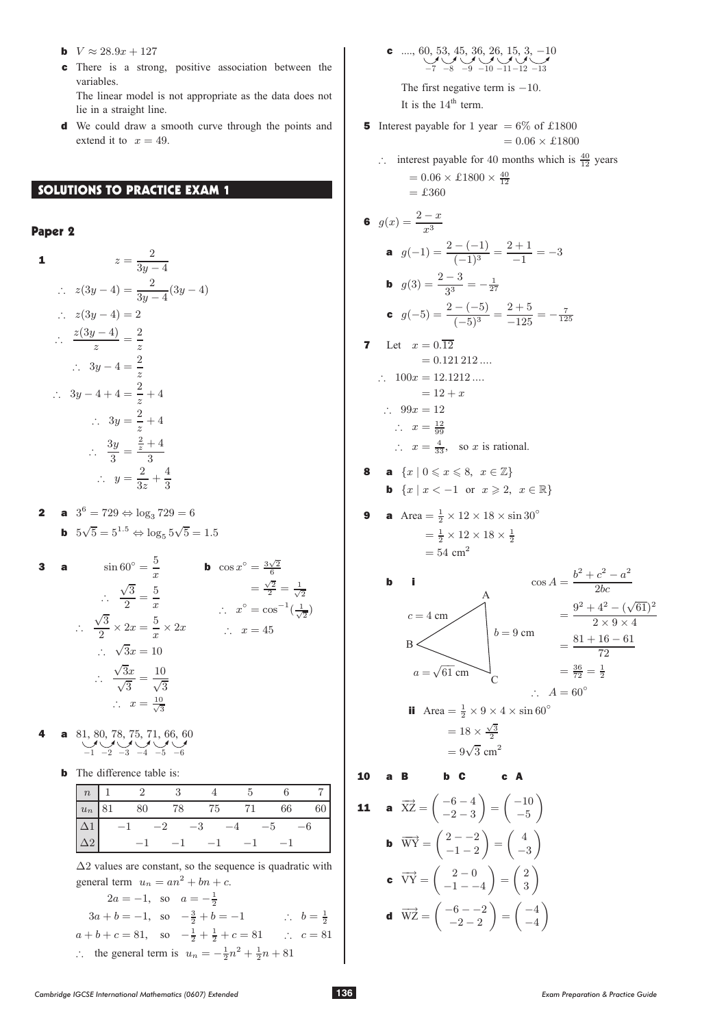- **b**  $V \approx 28.9x + 127$
- c There is a strong, positive association between the variables.

The linear model is not appropriate as the data does not lie in a straight line.

d We could draw a smooth curve through the points and extend it to  $x = 49$ .

## SOLUTIONS TO PRACTICE EXAM 1

# Paper 2

1  
\n
$$
z = \frac{2}{3y-4}
$$
\n
$$
\therefore z(3y-4) = \frac{2}{3y-4}(3y-4)
$$
\n
$$
\therefore z(3y-4) = 2
$$
\n
$$
\therefore \frac{z(3y-4)}{z} = \frac{2}{z}
$$
\n
$$
\therefore 3y-4 = \frac{2}{z}
$$
\n
$$
\therefore 3y-4+4 = \frac{2}{z}+4
$$
\n
$$
\therefore 3y = \frac{2}{z}+4
$$
\n
$$
\therefore \frac{3y}{3} = \frac{\frac{2}{z}+4}{3}
$$
\n
$$
\therefore y = \frac{2}{3z} + \frac{4}{3}
$$

**2 a**  $3^6 = 729 \Leftrightarrow \log_3 729 = 6$ **b**  $5\sqrt{5} = 5^{1.5} \Leftrightarrow \log_5 5\sqrt{5} = 1.5$ 

3 **a** 
$$
\sin 60^\circ = \frac{5}{x}
$$
 **b**  $\cos x^\circ = \frac{3\sqrt{2}}{6}$   
\n $\therefore \frac{\sqrt{3}}{2} = \frac{5}{x}$   $\therefore x^\circ = \cos^{-1}(\frac{1}{\sqrt{2}})$   
\n $\therefore \frac{\sqrt{3}}{2} \times 2x = \frac{5}{x} \times 2x$   $\therefore x = 45$   
\n $\therefore \sqrt{3}x = 10$   
\n $\therefore \frac{\sqrt{3}x}{\sqrt{3}} = \frac{10}{\sqrt{3}}$   
\n $\therefore x = \frac{10}{\sqrt{3}}$ 

- 4 a 81, 80, 78, 75, 71, 66, 60<br>-1 -2 -3 -4 -5 -6
	- **b** The difference table is:

| $\begin{array}{ c c } \hline n \ \hline \end{array}$            |      |                                                     |                     | $\cdot$ |           |      |
|-----------------------------------------------------------------|------|-----------------------------------------------------|---------------------|---------|-----------|------|
|                                                                 |      | $\boxed{u_n \mid 81 \qquad 80 \qquad 78 \qquad 75}$ |                     |         | 71 66     | - 60 |
| $\begin{array}{ c c }\n\hline\n\Delta 1 \\ \hline\n\end{array}$ |      | $-1$ $-2$ $-3$                                      |                     | $-4$    | $-5$ $-6$ |      |
|                                                                 | $-1$ |                                                     | $-1$ $-1$ $-1$ $-1$ |         |           |      |

 $\Delta$ 2 values are constant, so the sequence is quadratic with general term  $u_n = an^2 + bn + c$ .

$$
2a = -1, \text{ so } a = -\frac{1}{2}
$$
  
\n
$$
3a + b = -1, \text{ so } -\frac{3}{2} + b = -1 \qquad \therefore \quad b = \frac{1}{2}
$$
  
\n
$$
a + b + c = 81, \text{ so } -\frac{1}{2} + \frac{1}{2} + c = 81 \qquad \therefore \quad c = 81
$$
  
\n∴ the general term is  $u_n = -\frac{1}{2}n^2 + \frac{1}{2}n + 81$ 

<sup>c</sup> ...., 60, 53, 45, 36, 26, 15, 3, ¡10 -7 -8 -9 -10 -11-12 -13

The first negative term is  $-10$ . It is the  $14<sup>th</sup>$  term.

- **5** Interest payable for 1 year =  $6\%$  of £1800  $= 0.06 \times \pounds 1800$ 
	- $\therefore$  interest payable for 40 months which is  $\frac{40}{12}$  years  $= 0.06 \times \pounds 1800 \times \frac{40}{12}$  $=$  £360

6 
$$
g(x) = \frac{2-x}{x^3}
$$
  
\n**a**  $g(-1) = \frac{2 - (-1)}{(-1)^3} = \frac{2+1}{-1} = -3$ 

**b** 
$$
g(3) = \frac{2-3}{3^3} = -\frac{1}{27}
$$
  
\n**c**  $g(-5) = \frac{2-(-5)}{(-5)^3} = \frac{2+5}{-125} = -\frac{7}{125}$ 

**7** Let  $x = 0.\overline{12}$  $= 0.121 212 ...$  $\therefore$  100 $x = 12.1212...$ 

$$
= 12 + x
$$

$$
\therefore 99x = 12
$$

$$
\therefore x = \frac{12}{20}
$$

 $\therefore$   $x = \frac{12}{99}$ <br>  $\therefore$   $x = \frac{4}{33}$ , so x is rational.

- 8 a  $\{x \mid 0 \leqslant x \leqslant 8, x \in \mathbb{Z}\}\$ **b**  $\{x \mid x < -1 \text{ or } x \geq 2, x \in \mathbb{R}\}\$
- **9** a Area  $=\frac{1}{2} \times 12 \times 18 \times \sin 30^\circ$  $=\frac{1}{2} \times 12 \times 18 \times \frac{1}{2}$  $= 54$  cm<sup>2</sup>

**b**  
\n**i**  
\n
$$
c = 4 \text{ cm}
$$
\n
$$
c = 4 \text{ cm}
$$
\n
$$
b = 9 \text{ cm}
$$
\n
$$
a = \sqrt{61} \text{ cm}
$$
\n
$$
d = \sqrt{61} \text{ cm}
$$
\n
$$
d = \sqrt{61} \text{ cm}
$$
\n
$$
d = \sqrt{61} \text{ cm}
$$
\n
$$
c = 4 \text{ cm}
$$
\n
$$
b = 9 \text{ cm}
$$
\n
$$
b = 9 \text{ cm}
$$
\n
$$
b = 9 \text{ cm}
$$
\n
$$
= \frac{81 + 16 - 61}{72}
$$
\n
$$
= \frac{36}{72} = \frac{1}{2}
$$
\n
$$
\therefore A = 60^{\circ}
$$

ii Area = 
$$
\frac{1}{2} \times 9 \times 4 \times \sin 60^{\circ}
$$
  
=  $18 \times \frac{\sqrt{3}}{2}$   
=  $9\sqrt{3}$  cm<sup>2</sup>

10 a B b C c A

**11 a** 
$$
\overrightarrow{XZ} = \begin{pmatrix} -6-4 \\ -2-3 \end{pmatrix} = \begin{pmatrix} -10 \\ -5 \end{pmatrix}
$$
  
\n**b**  $\overrightarrow{WY} = \begin{pmatrix} 2 & -2 \\ -1 & -2 \end{pmatrix} = \begin{pmatrix} 4 \\ -3 \end{pmatrix}$   
\n**c**  $\overrightarrow{VY} = \begin{pmatrix} 2 & -0 \\ -1 & -4 \end{pmatrix} = \begin{pmatrix} 2 \\ 3 \end{pmatrix}$   
\n**d**  $\overrightarrow{WZ} = \begin{pmatrix} -6 & -2 \\ -2 & -2 \end{pmatrix} = \begin{pmatrix} -4 \\ -4 \end{pmatrix}$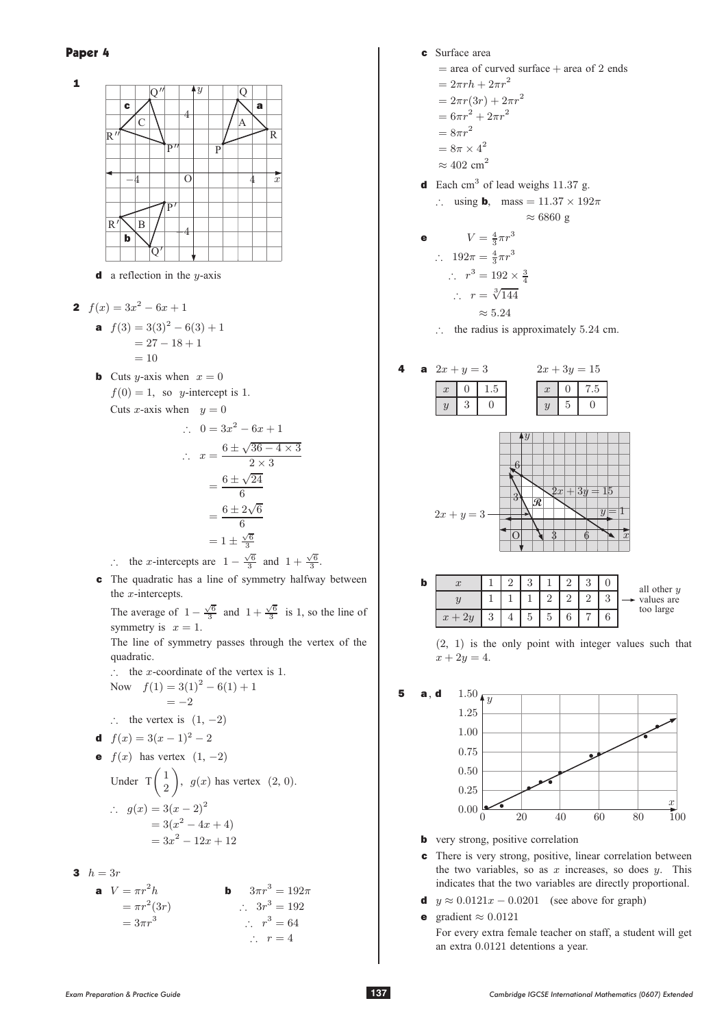

**d** a reflection in the  $y$ -axis

2  $f(x)=3x^2-6x+1$ 

**a** 
$$
f(3) = 3(3)^2 - 6(3) + 1
$$
  
= 27 - 18 + 1  
= 10

**b** Cuts y-axis when  $x = 0$  $f(0) = 1$ , so y-intercept is 1. Cuts x-axis when  $y = 0$ 

$$
\therefore \quad 0 = 3x^2 - 6x + 1
$$
\n
$$
\therefore \quad x = \frac{6 \pm \sqrt{36 - 4 \times 3}}{2 \times 3}
$$
\n
$$
= \frac{6 \pm \sqrt{24}}{6}
$$
\n
$$
= \frac{6 \pm 2\sqrt{6}}{6}
$$
\n
$$
= 1 \pm \frac{\sqrt{6}}{3}
$$
\n
$$
\therefore \quad \text{the } x \text{-intercepts are } 1 - \frac{\sqrt{6}}{3} \text{ and } 1 + \frac{\sqrt{6}}{3}.
$$

c The quadratic has a line of symmetry halfway between the  $x$ -intercepts.

The average of  $1 - \frac{\sqrt{6}}{3}$  and  $1 + \frac{\sqrt{6}}{3}$  is 1, so the line of symmetry is  $x = 1$ .

The line of symmetry passes through the vertex of the quadratic.

: the x-coordinate of the vertex is 1.<br>Now  $f(1) = 3(1)^2 - 6(1) + 1$  $f(1) = 3(1)^2 - 6(1) + 1$ 

Now 
$$
f(1) = 3(1)^2 - 6(1)
$$
  
= -2

$$
\therefore \quad \text{the vertex is} \quad (1, -2)
$$

**d** 
$$
f(x) = 3(x - 1)^2 - 2
$$

\n- **e** 
$$
f(x)
$$
 has vertex  $(1, -2)$
\n- Under  $T\left(\frac{1}{2}\right)$ ,  $g(x)$  has vertex  $(2, 0)$ .
\n- ∴  $g(x) = 3(x - 2)^2$   
\n $= 3(x^2 - 4x + 4)$   
\n $= 3x^2 - 12x + 12$ \n
\n

$$
3 \quad h = 3r
$$

| <b>a</b> $V = \pi r^2 h$ | <b>b</b> $3\pi r^3 = 192\pi$ |
|--------------------------|------------------------------|
| $= \pi r^2 (3r)$         | $\therefore 3r^3 = 192$      |
| $= 3\pi r^3$             | $\therefore r^3 = 64$        |
| $\therefore r = 4$       |                              |

- c Surface area
	- $=$  area of curved surface  $+$  area of 2 ends

$$
= 2\pi rh + 2\pi r^2
$$

$$
=2\pi r(3r)+2\pi r^2
$$

$$
= 6\pi r^2 + 2\pi r^2
$$

$$
=8\pi r^2
$$

$$
= 8\pi \times 4^2
$$

- $\approx 402$  cm<sup>2</sup>
- d Each cm<sup>3</sup> of lead weighs  $11.37$  g.

$$
\therefore \quad \text{using } \mathbf{b}, \quad \text{mass} = 11.37 \times 192\pi
$$
\n
$$
\approx 6860 \text{ g}
$$

$$
V = \frac{4}{3}\pi r^3
$$
\n
$$
\therefore 192\pi = \frac{4}{3}\pi r^3
$$
\n
$$
\therefore r^3 = 192 \times \frac{3}{4}
$$
\n
$$
\therefore r = \sqrt[3]{144}
$$
\n
$$
\approx 5.24
$$

 $\therefore$  the radius is approximately 5.24 cm.



| þ |   |  |  |   |                             |
|---|---|--|--|---|-----------------------------|
|   |   |  |  | U | all other $y$<br>values are |
|   | u |  |  |   | too large                   |





- **b** very strong, positive correlation
- c There is very strong, positive, linear correlation between the two variables, so as  $x$  increases, so does  $y$ . This indicates that the two variables are directly proportional.
- **d**  $y \approx 0.0121x 0.0201$  (see above for graph)
- **e** gradient  $\approx 0.0121$ For every extra female teacher on staff, a student will get an extra 0:0121 detentions a year.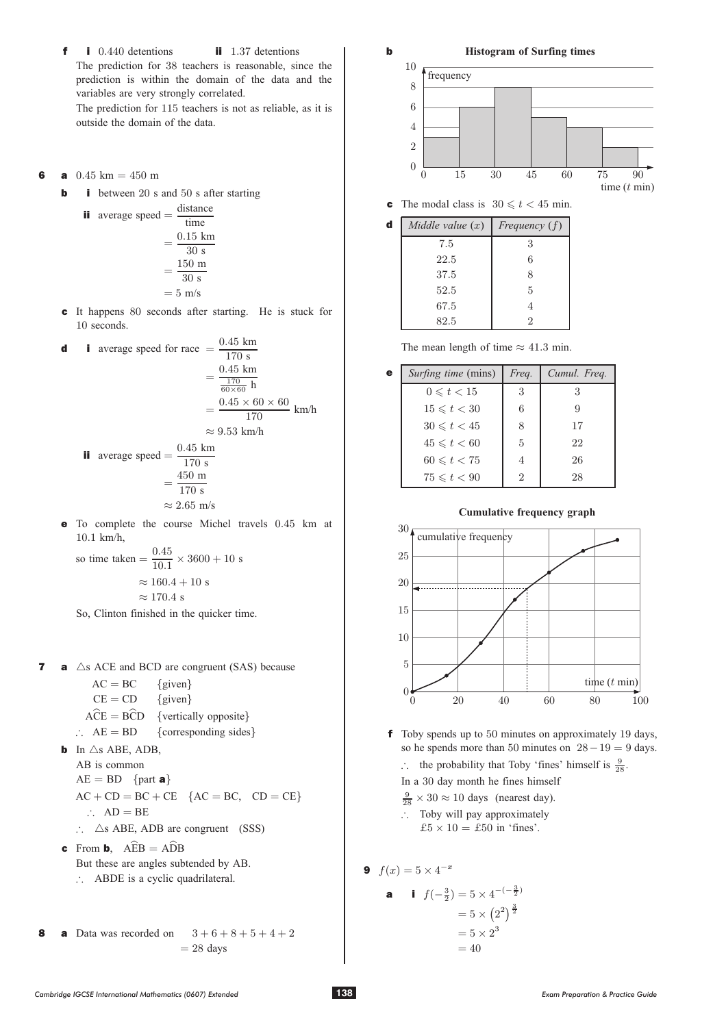$\ddot{\mathbf{f}}$  i 0.440 detentions ii 1.37 detentions The prediction for 38 teachers is reasonable, since the prediction is within the domain of the data and the prediction is within the domain of the data and the variables are very strongly correlated.

The prediction for 115 teachers is not as reliable, as it is outside the domain of the data.

- **6 a**  $0.45 \text{ km} = 450 \text{ m}$ <br>**b i** between 20 s
	- i between  $20$  s and  $50$  s after starting

ii average speed = 
$$
\frac{\text{distance}}{\text{time}}
$$
  
=  $\frac{0.15 \text{ km}}{30 \text{ s}}$   
=  $\frac{150 \text{ m}}{30 \text{ s}}$   
=  $5 \text{ m/s}$ 

c It happens 80 seconds after starting. He is stuck for 10 seconds 10 seconds.

**d**  
\n**i** average speed for race 
$$
=
$$
  $\frac{0.45 \text{ km}}{170 \text{ s}}$   
\n $=$   $\frac{0.45 \text{ km}}{\frac{170}{60 \times 60} \text{ h}}$   
\n $=$   $\frac{0.45 \times 60 \times 60}{170} \text{ km/h}$   
\n $\approx 9.53 \text{ km/h}$   
\n**ii** average speed  $=$   $\frac{0.45 \text{ km}}{170 \text{ s}}$ 

average speed = 
$$
\frac{170 \text{ s}}{170 \text{ s}}
$$

$$
= \frac{450 \text{ m}}{170 \text{ s}}
$$

$$
\approx 2.65 \text{ m/s}
$$

**e** To complete the course Michel travels  $0.45$  km at  $10.1$  km/h 10:1 km/h,

so time taken 
$$
=
$$
  $\frac{0.45}{10.1} \times 3600 + 10 \text{ s}$   
 $\approx 160.4 + 10 \text{ s}$   
 $\approx 170.4 \text{ s}$   
So, Clinton finished in the quicker time.

- **7 a**  $\triangle$ s ACE and BCD are congruent (SAS) because<br>AC = BC {given}
	- $AC = BC$  {given}<br>  $CE = CD$  {given}  $CE = CD$  {given}  $ACE = BCD$  {vertically opposite}
	- $\therefore$  AE = BD {corresponding sides}
	- **b** In  $\triangle$ s ABE, ADB, AB is common  $AE = BD$  {part **a**}  $AC + CD = BC + CE$  { $AC = BC$ ,  $CD = CE$ }  $\therefore$  AD = BE
		- $\therefore$   $\triangle$ s ABE, ADB are congruent (SSS)
	- **c** From **b**,  $AEB = ADB$ <br>But these are angles when But these are angles subtended by AB.  $\therefore$  ABDE is a cyclic quadrilateral.
- **8 a** Data was recorded on  $3+6+8+5+4+2$  $= 28$  days

15 30 45 60 75 90 0 2 4 6 8 10 frequency time ( min) t 0

**c** The modal class is  $30 \le t < 45$  min.

b **Histogram of Surfing times**

| d | Middle value $(x)$ | Frequency $(f)$ |
|---|--------------------|-----------------|
|   | 7.5                | 3               |
|   | 22.5               | 6               |
|   | 37.5               | 8               |
|   | 52.5               | 5               |
|   | 67.5               | $\overline{4}$  |
|   | 82.5               | 2               |

The mean length of time  $\approx 41.3$  min.

| e | <i>Surfing time</i> (mins) | Freq. | Cumul. Freq. |
|---|----------------------------|-------|--------------|
|   | $0 \leq t < 15$            | 3     |              |
|   | $15 \leq t < 30$           | 6     |              |
|   | $30 \le t < 45$            | 8     | 17           |
|   | $45 \leq t < 60$           | 5     | 22           |
|   | $60 \leq t < 75$           | 4     | 26           |
|   | $75 \leq t < 90$           | 2     | 28           |

**Cumulative frequency graph**



- <sup>f</sup> Toby spends up to 50 minutes on approximately 19 days, so he spends more than 50 minutes on  $28 - 19 = 9$  days.
	- $\therefore$  the probability that Toby 'fines' himself is  $\frac{9}{28}$ .
	- In a 30 day month he fines himself
	- $\frac{9}{28} \times 30 \approx 10$  days (nearest day).
	- $\therefore$  Toby will pay approximately  $\pounds 5 \times 10 = \pounds 50$  in 'fines'.

**9** 
$$
f(x) = 5 \times 4^{-x}
$$

**a i** 
$$
f(-\frac{3}{2}) = 5 \times 4^{-(-\frac{3}{2})}
$$
  
=  $5 \times (2^2)^{\frac{3}{2}}$   
=  $5 \times 2^3$   
= 40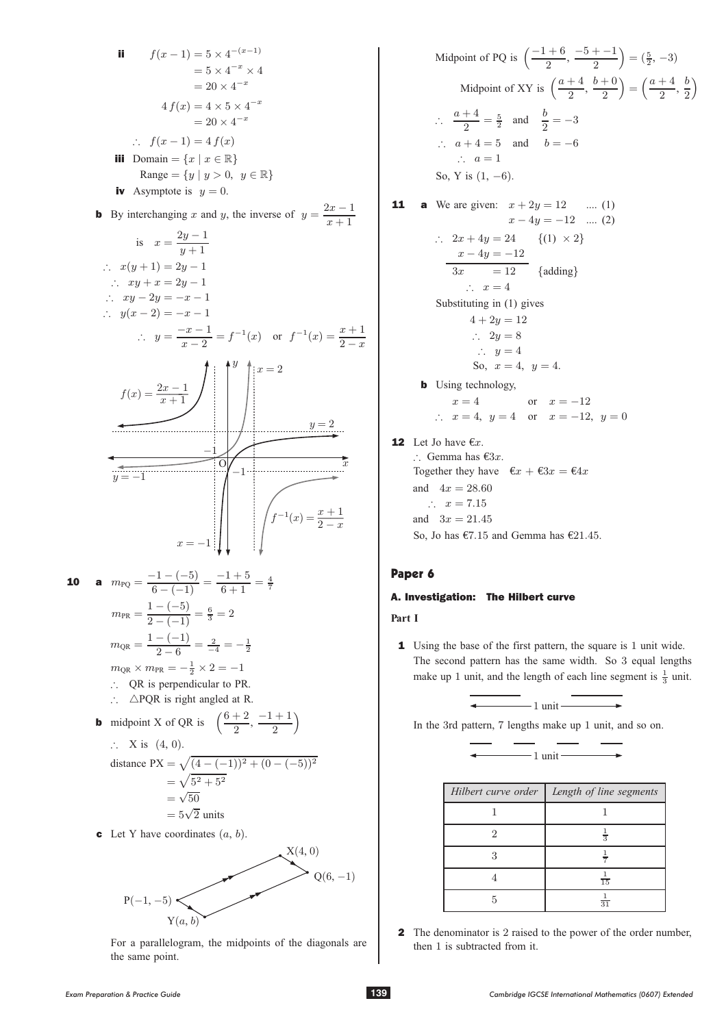ii 
$$
f(x-1) = 5 \times 4^{-(x-1)}
$$
  
\n $= 5 \times 4^{-x} \times 4$   
\n $= 20 \times 4^{-x}$   
\n4  $f(x) = 4 \times 5 \times 4^{-x}$   
\n $\therefore f(x-1) = 4 f(x)$   
\niii Domain =  $\{x \mid x \in \mathbb{R}\}$   
\nRange =  $\{y \mid y > 0, y \in \mathbb{R}\}$   
\niv Asymptote is  $y = 0$ .  
\nb By interchanging  $x$  and  $y$ , the inverse of  $y = \frac{2x-1}{x+1}$   
\nis  $x = \frac{2y-1}{y+1}$   
\n $\therefore xy + x = 2y - 1$   
\n $\therefore xy + x = 2y - 1$   
\n $\therefore y(x-2) = -x - 1$   
\n $\therefore y = \frac{-x-1}{x-2} = f^{-1}(x)$  or  $f^{-1}(x) = \frac{x+1}{2-x}$   
\n $f(x) = \frac{2x-1}{x+1}$   
\n $f(x) = \frac{2x-1}{x+1}$   
\n $f(x) = \frac{2x-1}{x+1}$   
\n $f(x) = \frac{-(1)(-5)}{x+1} = \frac{4}{5}$   
\n $y = -1$   
\n $\therefore QR$  is perpendicular to PR.  
\n10 **a**  $mp_0 = \frac{1-(-5)}{6-(-1)} = \frac{4}{6} = 2$   
\n $mp_R = \frac{1-(-5)}{2-6} = \frac{2}{4} = -\frac{1}{2}$   
\n $mp_R = \frac{1-(-5)}{2-6} = \frac{2}{4} = -\frac{1}{2}$   
\n $mp_R = \frac{1-(-1)}{2-6} = \frac{2}{4} = -\frac{1}{2}$   
\n $\therefore QR$  is perpendicular to PR.  
\n $\therefore \triangle PR$  is perpendicular to PR.  
\n $\therefore \triangle PR$  is perpendicular to PR.  
\n $\therefore \triangle PQR$  is right angled at R.  
\n**b** midpoint X of QR is  $(\frac{6+2}{2}, \frac{-$ 



For a parallelogram, the midpoints of the diagonals are the same point.

Midpoint of PQ is 
$$
\left(\frac{-1+6}{2}, \frac{-5+-1}{2}\right) = \left(\frac{5}{2}, -3\right)
$$
  
\nMidpoint of XY is  $\left(\frac{a+4}{2}, \frac{b+0}{2}\right) = \left(\frac{a+4}{2}, \frac{b}{2}\right)$   
\n $\therefore \frac{a+4}{2} = \frac{5}{2}$  and  $\frac{b}{2} = -3$   
\n $\therefore a+4=5$  and  $b=-6$   
\n $\therefore a = 1$   
\nSo, Y is  $(1, -6)$ .

11 **a** We are given: 
$$
x + 2y = 12
$$
 .... (1)  
\n $x - 4y = -12$  .... (2)  
\n $\therefore 2x + 4y = 24$  {(1) × 2}  
\n $\frac{x - 4y = -12}{3x = 12}$  {adding}  
\n $\therefore x = 4$   
\nSubstituting in (1) gives  
\n $4 + 2y = 12$   
\n $\therefore 2y = 8$   
\n $\therefore y = 4$   
\nSo,  $x = 4$ ,  $y = 4$ .  
\n**b** Using technology,  
\n $x = 4$  or  $x = -12$ 

$$
x = 4
$$
 or  $x = -12$   
\n $\therefore$   $x = 4$ ,  $y = 4$  or  $x = -12$ ,  $y = 0$ 

# **12** Let Jo have  $\epsilon x$ .

 $\therefore$  Gemma has  $\epsilon 3x$ . Together they have  $\epsilon x + \epsilon 3x = \epsilon 4x$ and  $4x = 28.60$  $\therefore x = 7.15$ and  $3x = 21.45$ So, Jo has  $\text{\textsterling}7.15$  and Gemma has  $\text{\textsterling}21.45$ .

# Paper 6

# A. Investigation: The Hilbert curve

# **Part I**

1 Using the base of the first pattern, the square is 1 unit wide. The second pattern has the same width. So 3 equal lengths make up 1 unit, and the length of each line segment is  $\frac{1}{3}$  unit.



In the 3rd pattern, 7 lengths make up 1 unit, and so on.



| Hilbert curve order | Length of line segments |
|---------------------|-------------------------|
|                     |                         |
|                     | $\frac{1}{3}$           |
|                     |                         |
|                     | $\frac{1}{15}$          |
|                     | $\frac{1}{31}$          |

<sup>2</sup> The denominator is 2 raised to the power of the order number, then 1 is subtracted from it.